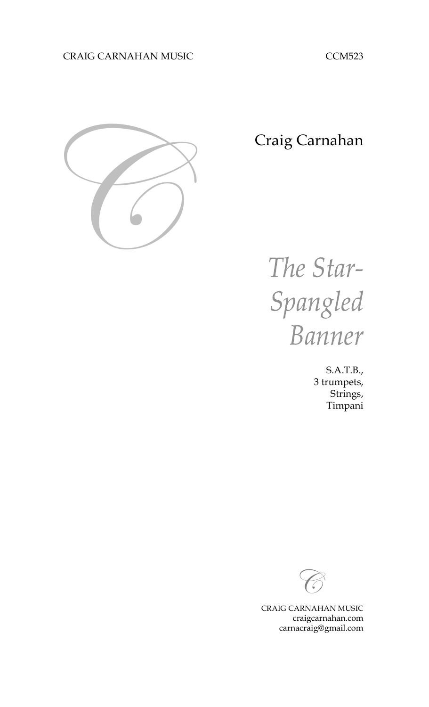

## Banner

S.A.T.B., 3 trumpets, Strings, Timpani

**CONTROLLER** 

CRAIG CARNAHAN MUSIC craigcarnahan.com carnacraig@gmail.com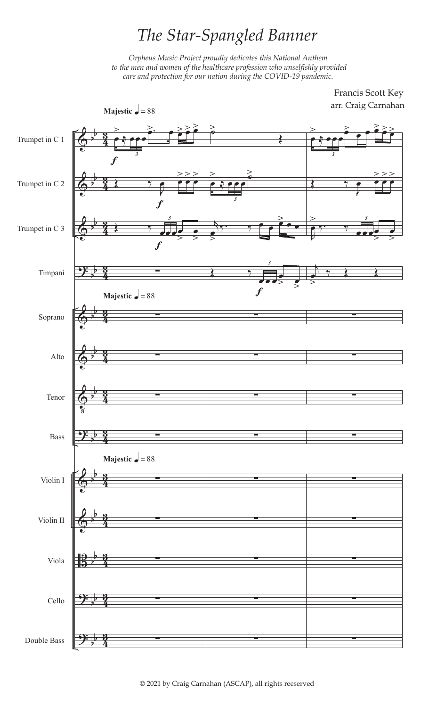## *The Star-Spangled Banner*

*Orpheus Music Project proudly dedicates this National Anthem to the men and women of the healthcare profession who unselfishly provided care and protection for our nation during the COVID-19 pandemic.*

> Francis Scott Key arr. Craig Carnahan

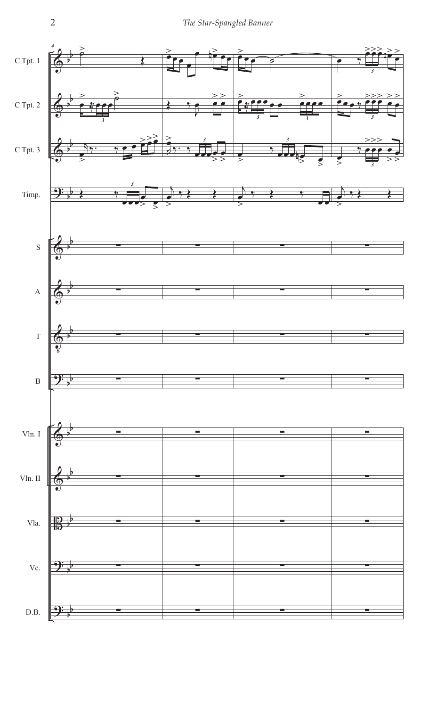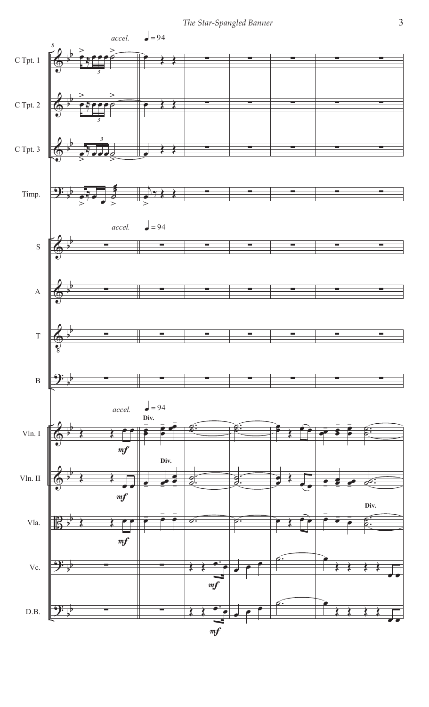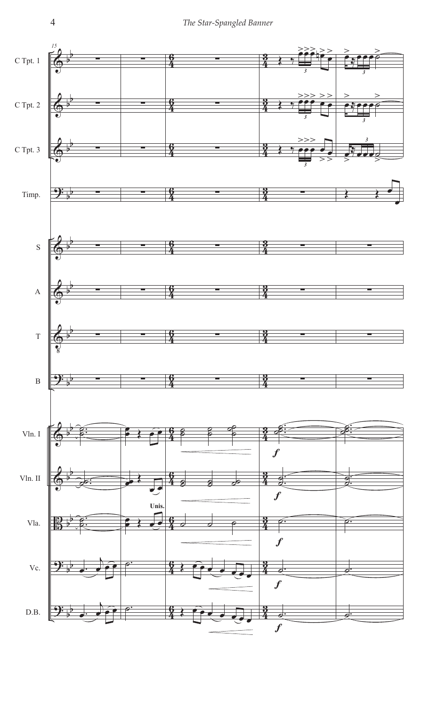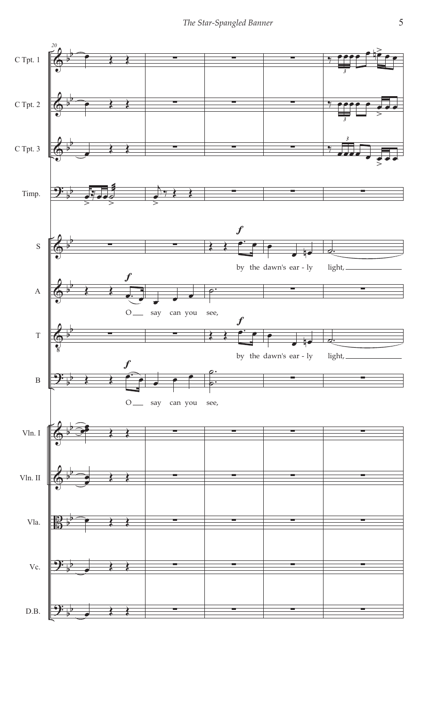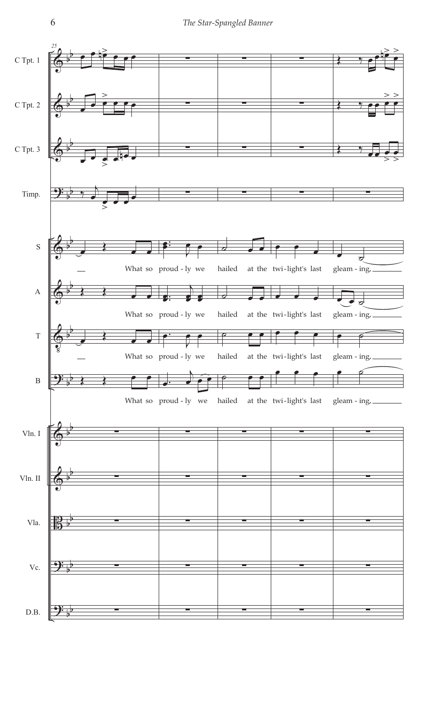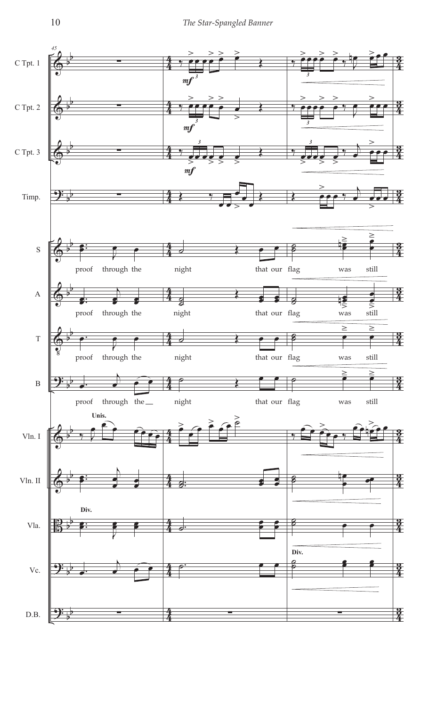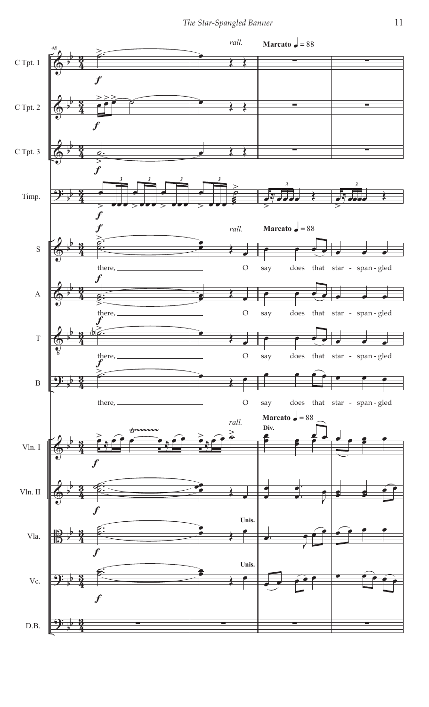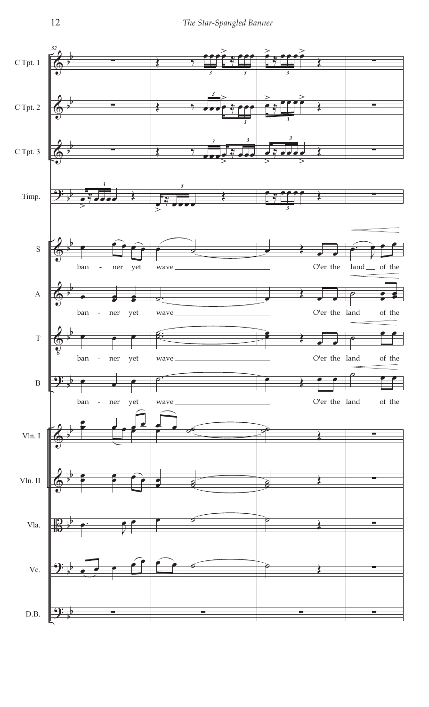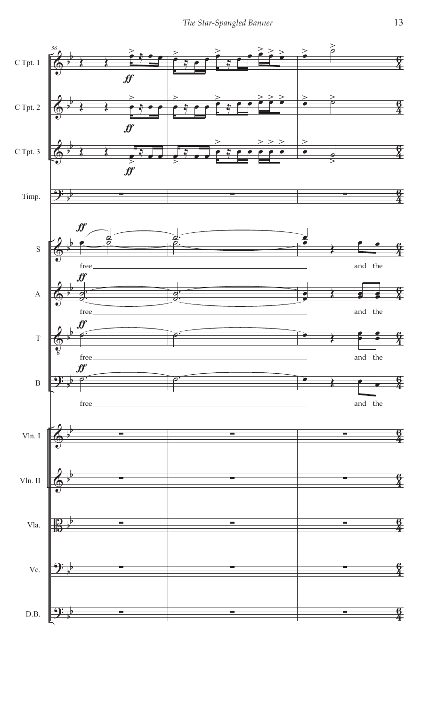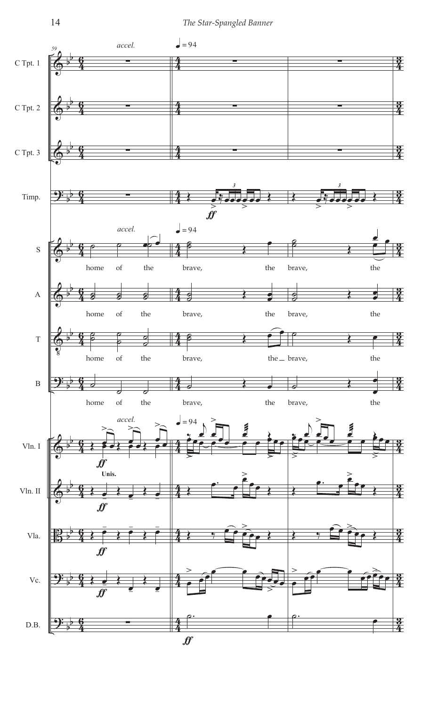